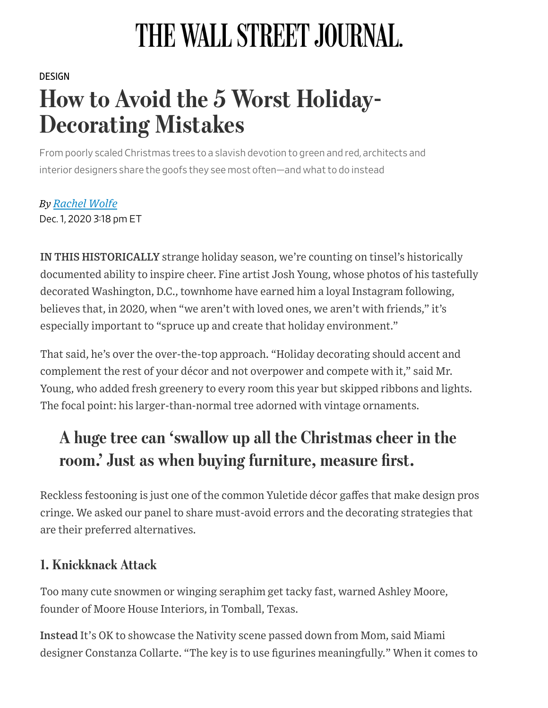# THE WALL STREET JOURNAL.

#### [DESIGN](https://www.wsj.com/news/types/design?mod=breadcrumb)

## How to Avoid the 5 Worst Holiday-Decorating Mistakes

From poorly scaled Christmas trees to a slavish devotion to green and red, architects and interior designers share the goofs they see most often—and what to do instead

*By Rachel Wolfe* Dec. 1, 2020 318 pm ET

IN THIS HISTORICALLY strange holiday season, we're counting on tinsel's historically documented ability to inspire cheer. Fine artist Josh Young, whose photos of his tastefully decorated Washington, D.C., townhome have earned him a loyal Instagram following, believes that, in 2020, when "we aren't with loved ones, we aren't with friends," it's especially important to "spruce up and create that holiday environment."

That said, he's over the over-the-top approach. "Holiday decorating should accent and complement the rest of your décor and not overpower and compete with it," said Mr. Young, who added fresh greenery to every room this year but skipped ribbons and lights. The focal point: his larger-than-normal tree adorned with vintage ornaments.

### A huge tree can 'swallow up all the Christmas cheer in the room.' Just as when buying furniture, measure first.

Reckless festooning is just one of the common Yuletide décor gaffes that make design pros cringe. We asked our panel to share must-avoid errors and the decorating strategies that are their preferred alternatives.

#### 1. Knickknack Attack

Too many cute snowmen or winging seraphim get tacky fast, warned Ashley Moore, founder of Moore House Interiors, in Tomball, Texas.

Instead It's OK to showcase the Nativity scene passed down from Mom, said Miami designer Constanza Collarte. "The key is to use figurines meaningfully." When it comes to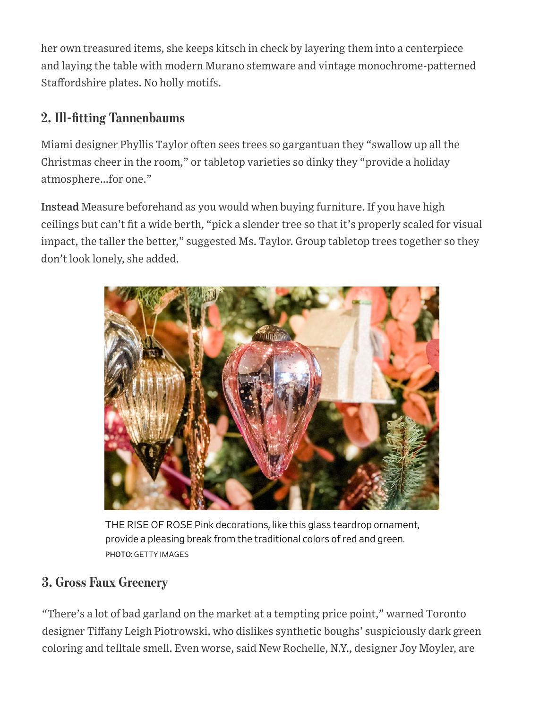her own treasured items, she keeps kitsch in check by layering them into a centerpiece and laying the table with modern Murano stemware and vintage monochrome-patterned Staffordshire plates. No holly motifs.

#### 2. Ill-fitting Tannenbaums

Miami designer Phyllis Taylor often sees trees so gargantuan they "swallow up all the Christmas cheer in the room," or tabletop varieties so dinky they "provide a holiday atmosphere...for one."

Instead Measure beforehand as you would when buying furniture. If you have high ceilings but can't fit a wide berth, "pick a slender tree so that it's properly scaled for visual impact, the taller the better," suggested Ms. Taylor. Group tabletop trees together so they don't look lonely, she added.



THE RISE OF ROSE Pink decorations, like this glass teardrop ornament, provide a pleasing break from the traditional colors of red and green. PHOTO: GETTY IMAGES

#### 3. Gross Faux Greenery

"Ther[e's a lot of bad garland on the market at a tempting price point," warne](https://googleads.g.doubleclick.net/pcs/click?xai=AKAOjsvPakSAVntdViohZ84stBAQgn5MTiFmVG3OX37vulBNp1P0eoSxENT6FjZHIdxOwAHuEiOzQ8L2I3G-AR6fT7-WD5XxPJauYPvnO9oPcztQKCql_IUJOKl5H3oLtS_ZaDUwNHsBGPl79SIIGDzWc6UCMSYLmpVv6xqJDgjQyXtfw1OrONvWltvAyvrBUpAwC3ZtqGk08s_kRqPiZFl5tKpOm0e96gi1SQSOUihLiMYvcad1OuGoClDnivmGZ9FfcvIqNiOt0M9kleldDFSnpaV7T2Y&sig=Cg0ArKJSzHzS77OYycwb&adurl=http://wsjwine.com/DJ4)d Toronto designer Tiffany Leigh Piotrowski, who dislikes synthetic boughs' suspiciously dark green coloring and telltale smell. Even worse, said New Rochelle, N.Y., designer Joy Moyler, are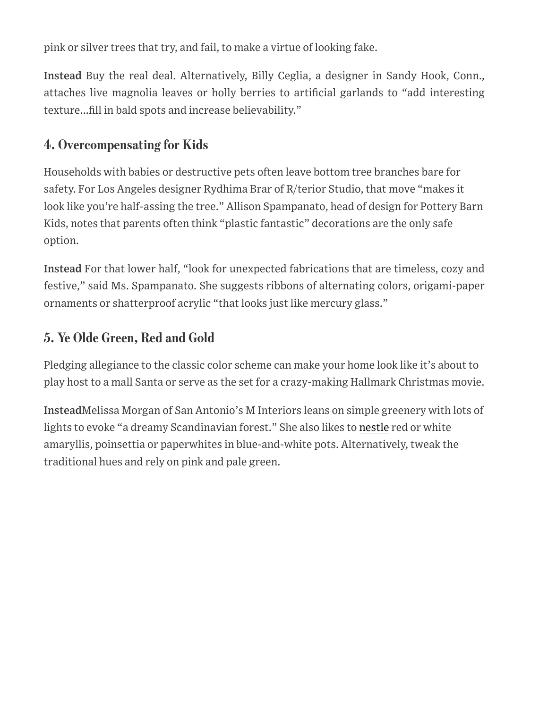pink or silver trees that try, and fail, to make a virtue of looking fake.

Instead Buy the real deal. Alternatively, Billy Ceglia, a designer in Sandy Hook, Conn., attaches live magnolia leaves or holly berries to artificial garlands to "add interesting texture...fill in bald spots and increase believability."

#### 4. Overcompensating for Kids

Households with babies or destructive pets often leave bottom tree branches bare for safety. For Los Angeles designer Rydhima Brar of R/terior Studio, that move "makes it look like you're half-assing the tree." Allison Spampanato, head of design for Pottery Barn Kids, notes that parents often think "plastic fantastic" decorations are the only safe option.

Instead For that lower half, "look for unexpected fabrications that are timeless, cozy and festive," said Ms. Spampanato. She suggests ribbons of alternating colors, origami-paper ornaments or shatterproof acrylic "that looks just like mercury glass."

#### 5. Ye Olde Green, Red and Gold

Pledging allegiance to the classic color scheme can make your home look like it's about to play host to a mall Santa or serve as the set for a crazy-making Hallmark Christmas movie.

InsteadMelissa Morgan of San Antonio's M Interiors leans on simple greenery with lots of lights to evoke "a dreamy Scandinavian forest." She also likes to [nestle](https://www.wsj.com/market-data/quotes/NSRGY) red or white amaryllis, poinsettia or paperwhites in blue-and-white pots. Alternatively, tweak the traditional hues and rely on pink and pale green.